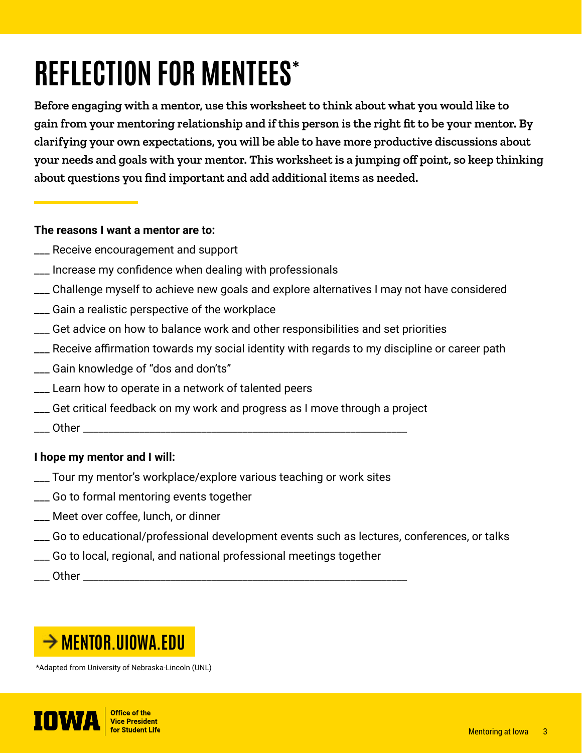# **REFLECTION FOR MENTEES\***

**Before engaging with a mentor, use this worksheet to think about what you would like to gain from your mentoring relationship and if this person is the right fit to be your mentor. By clarifying your own expectations, you will be able to have more productive discussions about your needs and goals with your mentor. This worksheet is a jumping off point, so keep thinking about questions you find important and add additional items as needed.** 

## **The reasons I want a mentor are to:**

- \_\_\_ Receive encouragement and support
- \_\_\_ Increase my confidence when dealing with professionals
- \_\_\_ Challenge myself to achieve new goals and explore alternatives I may not have considered
- \_\_\_ Gain a realistic perspective of the workplace
- \_\_\_ Get advice on how to balance work and other responsibilities and set priorities
- \_\_\_ Receive affirmation towards my social identity with regards to my discipline or career path
- \_\_\_ Gain knowledge of "dos and don'ts"
- \_\_\_ Learn how to operate in a network of talented peers
- \_\_\_ Get critical feedback on my work and progress as I move through a project
- $\rule{1em}{0}$  Other  $\rule{1em}{0}$

# **I hope my mentor and I will:**

- \_\_\_ Tour my mentor's workplace/explore various teaching or work sites
- \_\_\_ Go to formal mentoring events together
- \_\_\_ Meet over coffee, lunch, or dinner
- \_\_\_ Go to educational/professional development events such as lectures, conferences, or talks
- \_\_\_ Go to local, regional, and national professional meetings together

 $\bullet$  Other  $\bullet$ 



\*Adapted from University of Nebraska-Lincoln (UNL)